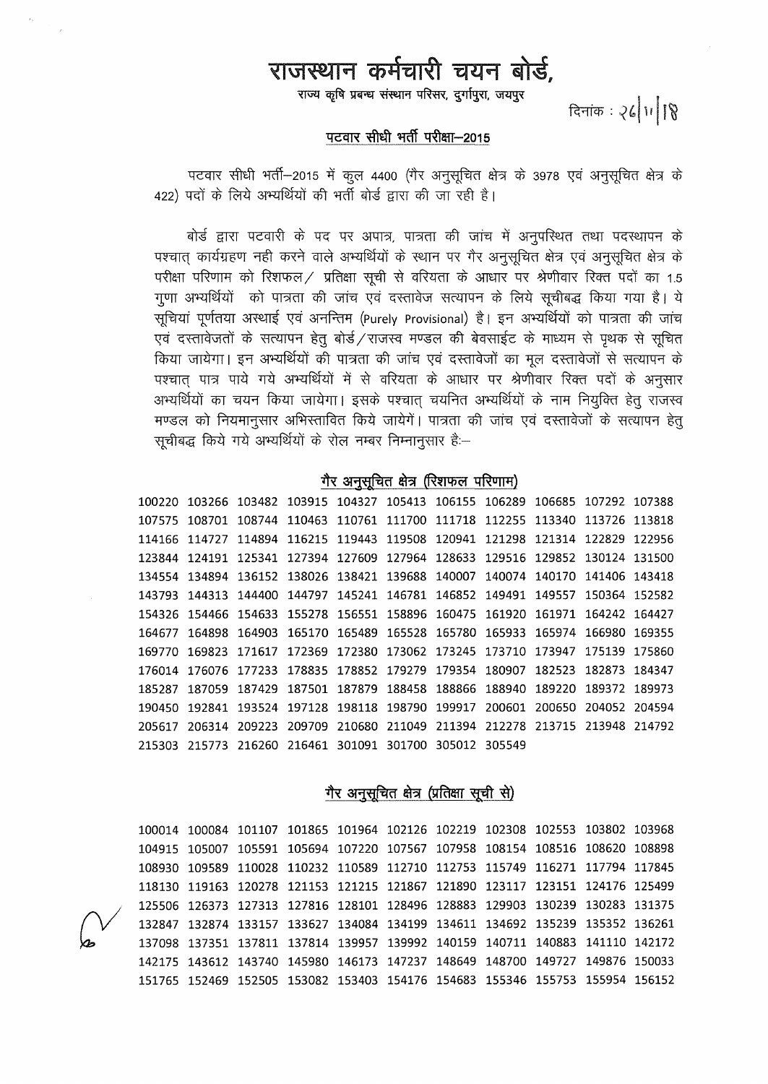## राजस्थान कर्मचारी चयन बोर्ड,<br>राज्य कृषि प्रबन्ध संस्थान परिसर, दुर्गापुरा, जयपुर<br>रिनांक: २८/11/18

~ ~ ~ **tRTan-2015** ~: ~''"''~ ~ ~ '+fdT-2o15 if cgc;r 44oo (1ft 3ljxtRm af5r *ct* 3978 l0i 3ljxtRm af31 *ct*  422) पदों के लिये अभ्यर्थियों की भर्ती बोर्ड द्वारा की जा रही है।

ं बोर्ड द्वारा पटवारी के पद पर अपात्र, पात्रता की जांच में अनुपरिथत तथा पदर्श्यापन के<br>पश्चात कार्यग्रहण नही करने वाले अभ्यर्थियों के स्थान पर गैर अनुसूचित क्षेत्र एवं अनुसूचित क्षेत्र के परीक्षा परिणाम को रिशफल / प्रतिक्षा सूची से वरियता के आधार पर श्रेणीवार रिक्त पदों का 1.5 गुणा अभ्यर्थियों को पात्रता की जांच एवं दस्तावेज सत्यापन के लिये सूचीबद्ध किया गया है। ये<br>सूचियां पूर्णतया अस्थाई एवं अनन्तिम (Purely Provisional) है। इन अभ्यर्थियों को पात्रता की जांच सूचियां पूर्णतया अस्थाई एवं अनन्तिम (Purely Provisional) है। इन अभ्यर्थियों को पात्रता की जांच<br>एवं दस्तावेजतों के सत्यापन हेतु बोर्ड ⁄ राजस्व मण्डल की बेवसाईट के माध्यम से पृथक से सूचित<br>् पवं दस्तावेजतों के सत्यापन हेतु बोर्ड राजस्व मण्डल की बेवसाईट के माध्यम से पृथक से सूचित<br>किया जायेगा। इन अभ्यर्थियों की पात्रता की जांच एवं दस्तावेजों का मूल दस्तावेजों से सत्यापन के<br>पश्चात् पात्र पाये गये अभ्यर्थियों में पश्चात् पात्र पाये गये अभ्यर्थियों में से वरियता के आधार पर श्रेणीवार रिक्त पदों के अनुसार<br>अभ्यर्थियों का चयन किया जायेगा। इसके पश्चात् चयनित अभ्यर्थियों के नाम नियुक्ति हेतु राजस्व<br>मण्डल को मण्डल को नियमानुसार अभिस्तावित किये जायेगें। पात्रता<br>सूचीबद्ध किये गये अभ्यर्थियों के रोल नम्बर निम्नानुसार हैः--

## गैर अनुसूचित क्षेत्र (रिशफल परिणाम)

100220 103266 103482 103915 104327 105413 106155 106289 106685 107292 107388 107575 108701 108744 110463 110761 111700 111718 112255 113340 113726 113818 114166 114727 114894 116215 119443 119508 120941 121298 121314 122829 122956 123844 124191 125341 127394 127609 127964 128633 129516 129852 130124 131500 134554 134894 136152 138026 138421 139688 140007 140074 140170 141406 143418 143793 144313 144400 144797 145241 146781 146852 149491 149557 150364 152582 154326 154466 154633 155278 156551 158896 160475 161920 161971 164242 164427 164677 164898 164903 165170 165489 165528 165780 165933 165974 166980 169355 169770 169823 171617 172369 172380 173062 173245 173710 173947 175139 175860 176014 176076 177233 178835 178852 179279 179354 180907 182523 182873 184347 185287 187059 187429 187501 187879 188458 188866 188940 189220 189372 189973 190450 192841 193524 197128 198118 198790 199917 200601 200650 204052 204594 205617 206314 209223 209709 210680 211049 211394 212278 213715 213948 214792 215303 215773 216260 216461 301091 301700 305012 305549

गैर अनुसूचित क्षेत्र (प्रतिक्षा सूची से)

100014 100084 101107 101865 101964 102126 102219 102308 102553 103802 103968 104915 105007 105591 105694 107220 107567 107958 108154 108516 108620 108898 108930 109589 110028 110232 110589 112710 112753 115749 116271 117794 117845 118130 119163 120278 121153 121215 121867 121890 123117 123151 124176 125499 *cv* 125506 126373 127313 127816 128101 128496 128883 129903 130239 130283 131375 132847 132874 133157 133627 134084 134199 134611 134692 135239 135352 136261 137098 137351 137811 137814 139957 139992 140159 140711 140883 141110 142172 142175 143612 143740 145980 146173 147237 148649 148700 149727 149876 150033 151765 152469 152505 153082 153403 154176 154683 155346 155753 155954 156152